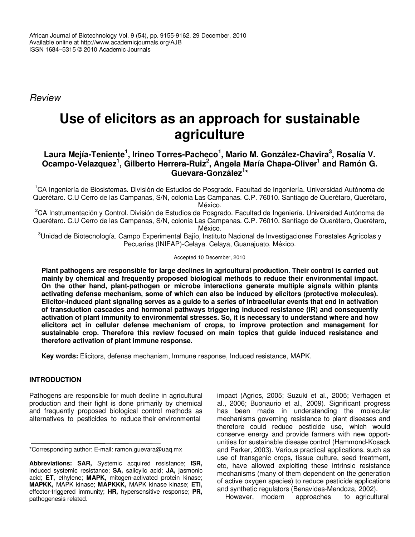African Journal of Biotechnology Vol. 9 (54), pp. 9155-9162, 29 December, 2010 Available online at http://www.academicjournals.org/AJB ISSN 1684–5315 © 2010 Academic Journals

*Review*

# **Use of elicitors as an approach for sustainable agriculture**

# **Laura Mejía-Teniente 1 , Irineo Torres-Pacheco 1 , Mario M. González-Chavira 3 , Rosalía V. Ocampo-Velazquez 1 , Gilberto Herrera-Ruiz 2 , Angela María Chapa-Oliver 1 and Ramón G. Guevara-González 1 \***

<sup>1</sup>CA Ingeniería de Biosistemas. División de Estudios de Posgrado. Facultad de Ingeniería. Universidad Autónoma de Querétaro. C.U Cerro de las Campanas, S/N, colonia Las Campanas. C.P. 76010. Santiago de Querétaro, Querétaro, México.

<sup>2</sup>CA Instrumentación y Control. División de Estudios de Posgrado. Facultad de Ingeniería. Universidad Autónoma de Querétaro. C.U Cerro de las Campanas, S/N, colonia Las Campanas. C.P. 76010. Santiago de Querétaro, Querétaro, México.

<sup>3</sup>Unidad de Biotecnología. Campo Experimental Bajío, Instituto Nacional de Investigaciones Forestales Agrícolas v Pecuarias (INIFAP)-Celaya. Celaya, Guanajuato, México.

### Accepted 10 December, 2010

**Plant pathogens are responsible for large declines in agricultural production. Their control is carried out mainly by chemical and frequently proposed biological methods to reduce their environmental impact. On the other hand, plant-pathogen or microbe interactions generate multiple signals within plants activating defense mechanism, some of which can also be induced by elicitors (protective molecules).** Elicitor-induced plant signaling serves as a guide to a series of intracellular events that end in activation **of transduction cascades and hormonal pathways triggering induced resistance (IR) and consequently activation of plant immunity to environmental stresses. So, it is necessary to understand where and how elicitors act in cellular defense mechanism of crops, to improve protection and management for sustainable crop. Therefore this review focused on main topics that guide induced resistance and therefore activation of plant immune response.**

**Key words:** Elicitors, defense mechanism, Immune response, Induced resistance, MAPK.

## **INTRODUCTION**

Pathogens are responsible for much decline in agricultural production and their fight is done primarily by chemical and frequently proposed biological control methods as alternatives to pesticides to reduce their environmental

impact (Agrios, 2005; Suzuki et al., 2005; Verhagen et al., 2006; Buonaurio et al., 2009). Significant progress has been made in understanding the molecular mechanisms governing resistance to plant diseases and therefore could reduce pesticide use, which would conserve energy and provide farmers with new opportunities for sustainable disease control (Hammond-Kosack and Parker, 2003). Various practical applications, such as use of transgenic crops, tissue culture, seed treatment, etc, have allowed exploiting these intrinsic resistance mechanisms (many of them dependent on the generation of active oxygen species) to reduce pesticide applications and synthetic regulators (Benavides-Mendoza, 2002).

However, modern approaches to agricultural

<sup>\*</sup>Corresponding author: E-mail: ramon.guevara@uaq.mx

**Abbreviations: SAR,** Systemic acquired resistance; **ISR,** induced systemic resistance; **SA,** salicylic acid; **JA,** jasmonic acid; **ET,** ethylene; **MAPK,** mitogen-activated protein kinase; **MAPKK,** MAPK kinase; **MAPKKK,** MAPK kinase kinase; **ETI,** effector-triggered immunity; **HR,** hypersensitive response; **PR,** pathogenesis related.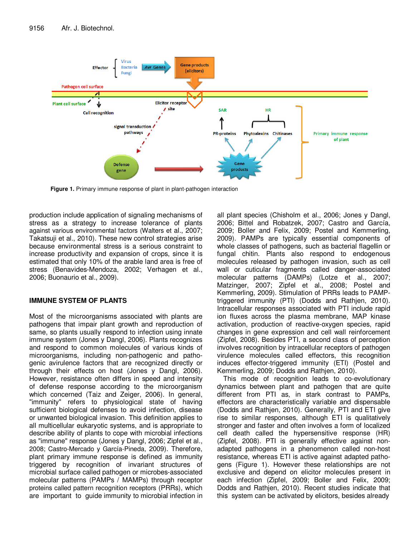

**Figure 1.** Primary immune response of plant in plant-pathogen interaction

production include application of signaling mechanisms of stress as a strategy to increase tolerance of plants against various environmental factors (Walters et al., 2007; Takatsuji et al., 2010). These new control strategies arise because environmental stress is a serious constraint to increase productivity and expansion of crops, since it is estimated that only 10% of the arable land area is free of stress (Benavides-Mendoza, 2002; Verhagen et al., 2006; Buonaurio et al., 2009).

## **IMMUNE SYSTEM OF PLANTS**

Most of the microorganisms associated with plants are pathogens that impair plant growth and reproduction of same, so plants usually respond to infection using innate immune system (Jones y Dangl, 2006). Plants recognizes and respond to common molecules of various kinds of microorganisms, including non-pathogenic and pathogenic avirulence factors that are recognized directly or through their effects on host (Jones y Dangl, 2006). However, resistance often differs in speed and intensity of defense response according to the microorganism which concerned (Taiz and Zeiger, 2006). In general, "immunity" refers to physiological state of having sufficient biological defenses to avoid infection, disease or unwanted biological invasion. This definition applies to all multicellular eukaryotic systems, and is appropriate to describe ability of plants to cope with microbial infections as "immune" response (Jones y Dangl, 2006; Zipfel et al., 2008; Castro-Mercado y García-Pineda, 2009). Therefore, plant primary immune response is defined as immunity triggered by recognition of invariant structures of microbial surface called pathogen or microbes-associated molecular patterns (PAMPs / MAMPs) through receptor proteins called pattern recognition receptors (PRRs), which are important to guide immunity to microbial infection in

all plant species (Chisholm et al., 2006; Jones y Dangl, 2006; Bittel and Robatzek, 2007; Castro and García, 2009; Boller and Felix, 2009; Postel and Kemmerling, 2009). PAMPs are typically essential components of whole classes of pathogens, such as bacterial flagellin or fungal chitin. Plants also respond to endogenous molecules released by pathogen invasion, such as cell wall or cuticular fragments called danger-associated molecular patterns (DAMPs) (Lotze et al., 2007; Matzinger, 2007; Zipfel et al., 2008; Postel and Kemmerling, 2009). Stimulation of PRRs leads to PAMPtriggered immunity (PTI) (Dodds and Rathjen, 2010). Intracellular responses associated with PTI include rapid ion fluxes across the plasma membrane, MAP kinase activation, production of reactive-oxygen species, rapid changes in gene expression and cell wall reinforcement (Zipfel, 2008). Besides PTI, a second class of perception involves recognition by intracellular receptors of pathogen virulence molecules called effectors, this recognition induces effector-triggered immunity (ETI) (Postel and Kemmerling, 2009; Dodds and Rathjen, 2010).

This mode of recognition leads to co-evolutionary dynamics between plant and pathogen that are quite different from PTI as, in stark contrast to PAMPs, effectors are characteristically variable and dispensable (Dodds and Rathjen, 2010). Generally, PTI and ETI give rise to similar responses, although ETI is qualitatively stronger and faster and often involves a form of localized cell death called the hypersensitive response (HR) (Zipfel, 2008). PTI is generally effective against nonadapted pathogens in a phenomenon called non-host resistance, whereas ETI is active against adapted pathogens (Figure 1). However these relationships are not exclusive and depend on elicitor molecules present in each infection (Zipfel, 2009; Boller and Felix, 2009; Dodds and Rathjen, 2010). Recent studies indicate that this system can be activated by elicitors, besides already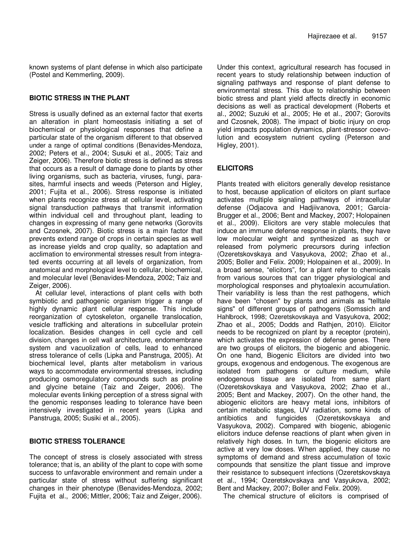known systems of plant defense in which also participate (Postel and Kemmerling, 2009).

## **BIOTIC STRESS IN THE PLANT**

Stress is usually defined as an external factor that exerts an alteration in plant homeostasis initiating a set of biochemical or physiological responses that define a particular state of the organism different to that observed under a range of optimal conditions (Benavides-Mendoza, 2002; Peters et al., 2004; Susuki et al., 2005; Taiz and Zeiger, 2006). Therefore biotic stress is defined as stress that occurs as a result of damage done to plants by other living organisms, such as bacteria, viruses, fungi, parasites, harmful insects and weeds (Peterson and Higley, 2001; Fujita et al., 2006). Stress response is initiated when plants recognize stress at cellular level, activating signal transduction pathways that transmit information within individual cell and throughout plant, leading to changes in expressing of many gene networks (Gorovits and Czosnek, 2007). Biotic stress is a main factor that prevents extend range of crops in certain species as well as increase yields and crop quality, so adaptation and acclimation to environmental stresses result from integrated events occurring at all levels of organization, from anatomical and morphological level to cellular, biochemical, and molecular level (Benavides-Mendoza, 2002; Taiz and Zeiger, 2006).

At cellular level, interactions of plant cells with both symbiotic and pathogenic organism trigger a range of highly dynamic plant cellular response. This include reorganization of cytoskeleton, organelle translocation, vesicle trafficking and alterations in subcellular protein localization. Besides changes in cell cycle and cell division, changes in cell wall architecture, endomembrane system and vacuolization of cells, lead to enhanced stress tolerance of cells (Lipka and Panstruga, 2005). At biochemical level, plants alter metabolism in various ways to accommodate environmental stresses, including producing osmoregulatory compounds such as proline and glycine betaine (Taiz and Zeiger, 2006). The molecular events linking perception of a stress signal with the genomic responses leading to tolerance have been intensively investigated in recent years (Lipka and Panstruga, 2005; Susiki et al., 2005).

## **BIOTIC STRESS TOLERANCE**

The concept of stress is closely associated with stress tolerance; that is, an ability of the plant to cope with some success to unfavorable environment and remain under a particular state of stress without suffering significant changes in their phenotype (Benavides-Mendoza, 2002; Fujita et al., 2006; Mittler, 2006; Taiz and Zeiger, 2006).

Under this context, agricultural research has focused in recent years to study relationship between induction of signaling pathways and response of plant defense to environmental stress. This due to relationship between biotic stress and plant yield affects directly in economic decisions as well as practical development (Roberts et al., 2002; Suzuki et al., 2005; He et al., 2007; Gorovits and Czosnek, 2008). The impact of biotic injury on crop yield impacts population dynamics, plant-stressor coevolution and ecosystem nutrient cycling (Peterson and Higley, 2001).

# **ELICITORS**

Plants treated with elicitors generally develop resistance to host, because application of elicitors on plant surface activates multiple signaling pathways of intracellular defense (Odjacova and Hadjiivanova, 2001; Garcia-Brugger et al., 2006; Bent and Mackey, 2007; Holopainen et al., 2009). Elicitors are very stable molecules that induce an immune defense response in plants, they have low molecular weight and synthesized as such or released from polymeric precursors during infection (Ozeretskovskaya and Vasyukova, 2002; Zhao et al., 2005; Boller and Felix. 2009; Holopainen et al., 2009). In a broad sense, "elicitors", for a plant refer to chemicals from various sources that can trigger physiological and morphological responses and phytoalexin accumulation. Their variability is less than the rest pathogens, which have been "chosen" by plants and animals as "telltale signs" of different groups of pathogens (Somssich and Hahlbrock, 1998; Ozeretskovskaya and Vasyukova, 2002; Zhao et al., 2005; Dodds and Rathjen, 2010). Elicitor needs to be recognized on plant by a receptor (protein), which activates the expression of defense genes. There are two groups of elicitors, the biogenic and abiogenic. On one hand, Biogenic Elicitors are divided into two groups, exogenous and endogenous. The exogenous are isolated from pathogens or culture medium, while endogenous tissue are isolated from same plant (Ozeretskovskaya and Vasyukova, 2002; Zhao et al., 2005; Bent and Mackey, 2007). On the other hand, the abiogenic elicitors are heavy metal ions, inhibitors of certain metabolic stages, UV radiation, some kinds of antibiotics and fungicides (Ozeretskovskaya and Vasyukova, 2002). Compared with biogenic, abiogenic elicitors induce defense reactions of plant when given in relatively high doses. In turn, the biogenic elicitors are active at very low doses. When applied, they cause no symptoms of demand and stress accumulation of toxic compounds that sensitize the plant tissue and improve their resistance to subsequent infections (Ozeretskovskaya et al., 1994; Ozeretskovskaya and Vasyukova, 2002; Bent and Mackey, 2007; Boller and Felix. 2009).

The chemical structure of elicitors is comprised of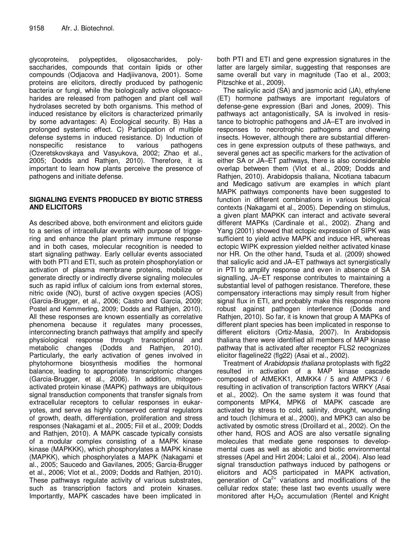glycoproteins, polypeptides, oligosaccharides, polysaccharides, compounds that contain lipids or other compounds (Odjacova and Hadjiivanova, 2001). Some proteins are elicitors, directly produced by pathogenic bacteria or fungi, while the biologically active oligosaccharides are released from pathogen and plant cell wall hydrolases secreted by both organisms. This method of induced resistance by elicitors is characterized primarily by some advantages: A) Ecological security. B) Has a prolonged systemic effect. C) Participation of multiple defense systems in induced resistance. D) Induction of nonspecific resistance to various pathogens (Ozeretskovskaya and Vasyukova, 2002; Zhao et al., 2005; Dodds and Rathjen, 2010). Therefore, it is important to learn how plants perceive the presence of pathogens and initiate defense.

## **SIGNALING EVENTS PRODUCED BY BIOTIC STRESS AND ELICITORS**

As described above, both environment and elicitors guide to a series of intracellular events with purpose of triggering and enhance the plant primary immune response and in both cases, molecular recognition is needed to start signaling pathway. Early cellular events associated with both PTI and ETI, such as protein phosphorylation or activation of plasma membrane proteins, mobilize or generate directly or indirectly diverse signaling molecules such as rapid influx of calcium ions from external stores, nitric oxide (NO), burst of active oxygen species (AOS) (Garcia-Brugger, et al., 2006; Castro and Garcia, 2009; Postel and Kemmerling, 2009; Dodds and Rathjen, 2010). All these responses are known essentially as correlative phenomena because it regulates many processes, interconnecting branch pathways that amplify and specify physiological response through transcriptional and metabolic changes (Dodds and Rathjen, 2010). Particularly, the early activation of genes involved in phytohormone biosynthesis modifies the hormonal balance, leading to appropriate transcriptomic changes (Garcia-Brugger, et al., 2006). In addition, mitogenactivated protein kinase (MAPK) pathways are ubiquitous signal transduction components that transfer signals from extracellular receptors to cellular responses in eukaryotes, and serve as highly conserved central regulators of growth, death, differentiation, proliferation and stress responses (Nakagami et al., 2005; Fiil et al., 2009; Dodds and Rathjen, 2010). A MAPK cascade typically consists of a modular complex consisting of a MAPK kinase kinase (MAPKKK), which phosphorylates a MAPK kinase (MAPKK), which phosphorylates a MAPK (Nakagami et al., 2005; Saucedo and Gavilanes, 2005; Garcia-Brugger et al., 2006; Vlot et al., 2009; Dodds and Rathjen, 2010). These pathways regulate activity of various substrates, such as transcription factors and protein kinases. Importantly, MAPK cascades have been implicated in

both PTI and ETI and gene expression signatures in the latter are largely similar, suggesting that responses are same overall but vary in magnitude (Tao et al., 2003; Pitzschke et al., 2009).

The salicylic acid (SA) and jasmonic acid (JA), ethylene (ET) hormone pathways are important regulators of defense-gene expression (Bari and Jones, 2009). This pathways act antagonistically, SA is involved in resistance to biotrophic pathogens and JA–ET are involved in responses to necrotrophic pathogens and chewing insects. However, although there are substantial differences in gene expression outputs of these pathways, and several genes act as specific markers for the activation of either SA or JA–ET pathways, there is also considerable overlap between them (Vlot et al., 2009; Dodds and Rathjen, 2010). Arabidopsis thaliana, Nicotiana tabacum and Medicago sativum are examples in which plant MAPK pathways components have been suggested to function in different combinations in various biological contexts (Nakagami et al., 2005). Depending on stimulus, a given plant MAPKK can interact and activate several different MAPKs (Cardinale et al., 2002). Zhang and Yang (2001) showed that ectopic expression of SIPK was sufficient to yield active MAPK and induce HR, whereas ectopic WIPK expression yielded neither activated kinase nor HR. On the other hand, Tsuda et al. (2009) showed that salicylic acid and JA–ET pathways act synergistically in PTI to amplify response and even in absence of SA signalling, JA–ET response contributes to maintaining a substantial level of pathogen resistance. Therefore, these compensatory interactions may simply result from higher signal flux in ETI, and probably make this response more robust against pathogen interference (Dodds and Rathjen, 2010). So far, it is known that group A MAPKs of different plant species has been implicated in response to different elicitors (Ortiz-Masia, 2007). In Arabidopsis thaliana there were identified all members of MAP kinase pathway that is activated after receptor FLS2 recognizes elicitor flageline22 (flg22) (Asai et al., 2002).

Treatment of *Arabidopsis thaliana* protoplasts with flg22 resulted in activation of a MAP kinase cascade composed of AtMEKK1, AtMKK4 / 5 and AtMPK3 / 6 resulting in activation of transcription factors WRKY (Asai et al., 2002). On the same system it was found that components MPK4, MPK6 of MAPK cascade are activated by stress to cold, salinity, drought, wounding and touch (Ichimura et al., 2000), and MPK3 can also be activated by osmotic stress (Droillard et al., 2002). On the other hand, ROS and AOS are also versatile signaling molecules that mediate gene responses to developmental cues as well as abiotic and biotic environmental stresses (Apel and Hirt 2004; Laloi et al., 2004). Also lead signal transduction pathways induced by pathogens or elicitors and AOS participated in MAPK activation, generation of  $Ca^{2+}$  variations and modifications of the cellular redox state; these last two events usually were monitored after  $H_2O_2$  accumulation (Rentel and Knight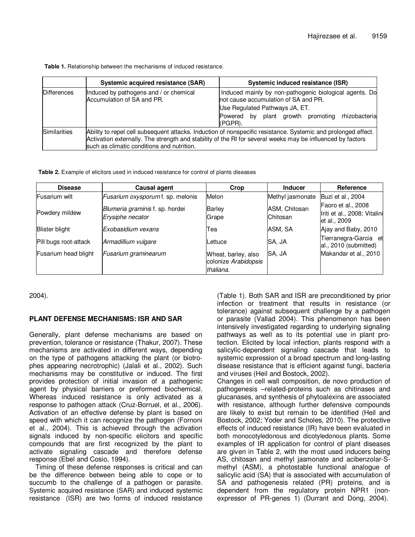**Table 1.** Relationship between the mechanisms of induced resistance.

|                     | Systemic acquired resistance (SAR)                                                                                                                                                                                                                                        | Systemic induced resistance (ISR)                                                                                                                                                                              |  |  |  |
|---------------------|---------------------------------------------------------------------------------------------------------------------------------------------------------------------------------------------------------------------------------------------------------------------------|----------------------------------------------------------------------------------------------------------------------------------------------------------------------------------------------------------------|--|--|--|
| Differences         | Induced by pathogens and / or chemical<br>Accumulation of SA and PR.                                                                                                                                                                                                      | Induced mainly by non-pathogenic biological agents. Do<br>not cause accumulation of SA and PR.<br>Use Regulated Pathways JA, ET.<br>rhizobacteria<br>by plant growth promoting<br><b>Powered</b><br>$(PGPR)$ . |  |  |  |
| <b>Similarities</b> | Ability to repel cell subsequent attacks. Induction of nonspecific resistance. Systemic and prolonged effect.<br>Activation externally. The strength and stability of the RI for several weeks may be influenced by factors<br>such as climatic conditions and nutrition. |                                                                                                                                                                                                                |  |  |  |

**Table 2.** Example of elicitors used in induced resistance for control of plants diseases

| <b>Disease</b>        | <b>Causal agent</b>                                 | Crop                                                     | <b>Inducer</b>            | Reference                                          |
|-----------------------|-----------------------------------------------------|----------------------------------------------------------|---------------------------|----------------------------------------------------|
| Fusarium wilt         | Fusarium oxysporum f. sp. melonis                   | Melon                                                    | Methyl jasmonate          | Buzi et al., 2004                                  |
| Powdery mildew        | Blumeria graminis f. sp. hordei<br>Erysiphe necator | <b>Barley</b><br>Grape                                   | ASM, Chitosan<br>Chitosan | Faoro et al., 2008<br>Iriti et al., 2008; Vitalini |
| <b>Blister blight</b> | lExobasidium vexans                                 | Теа                                                      | ASM, SA                   | let al., 2009<br>Ajay and Baby, 2010               |
| Pill bugs root-attack | Armadillium vulgare                                 | Lettuce                                                  | SA, JA                    | Tierranegra-Garcia et<br>al., 2010 (submitted)     |
| Fusarium head blight  | Fusarium graminearum                                | Wheat, barley, also<br>colonize Arabidopsis<br>thaliana. | SA, JA                    | Makandar et al., 2010                              |

2004).

## **PLANT DEFENSE MECHANISMS: ISR AND SAR**

Generally, plant defense mechanisms are based on prevention, tolerance or resistance (Thakur, 2007). These mechanisms are activated in different ways, depending on the type of pathogens attacking the plant (or biotrophes appearing necrotrophic) (Jalali et al., 2002). Such mechanisms may be constitutive or induced. The first provides protection of initial invasion of a pathogenic agent by physical barriers or preformed biochemical. Whereas induced resistance is only activated as a response to pathogen attack (Cruz-Borruel, et al., 2006). Activation of an effective defense by plant is based on speed with which it can recognize the pathogen (Fornoni et al., 2004). This is achieved through the activation signals induced by non-specific elicitors and specific compounds that are first recognized by the plant to activate signaling cascade and therefore defense response (Ebel and Cosio, 1994).

Timing of these defense responses is critical and can be the difference between being able to cope or to succumb to the challenge of a pathogen or parasite. Systemic acquired resistance (SAR) and induced systemic resistance (ISR) are two forms of induced resistance

(Table 1). Both SAR and ISR are preconditioned by prior infection or treatment that results in resistance (or tolerance) against subsequent challenge by a pathogen or parasite (Vallad 2004). This phenomenon has been intensively investigated regarding to underlying signaling pathways as well as to its potential use in plant protection. Elicited by local infection, plants respond with a salicylic-dependent signaling cascade that leads to systemic expression of a broad spectrum and long-lasting disease resistance that is efficient against fungi, bacteria and viruses (Heil and Bostock, 2002).

Changes in cell wall composition, de novo production of pathogenesis –related-proteins such as chitinases and glucanases, and synthesis of phytoalexins are associated with resistance, although further defensive compounds are likely to exist but remain to be identified (Heil and Bostock, 2002; Yoder and Scholes, 2010). The protective effects of induced resistance (IR) have been evaluated in both monocotyledonous and dicotyledonous plants. Some examples of IR application for control of plant diseases are given in Table 2, with the most used inducers being AS, chitosan and methyl jasmonate and acibenzolar-Smethyl (ASM), a photostable functional analogue of salicylic acid (SA) that is associated with accumulation of SA and pathogenesis related (PR) proteins, and is dependent from the regulatory protein NPR1 (nonexpressor of PR-genes 1) (Durrant and Dong, 2004).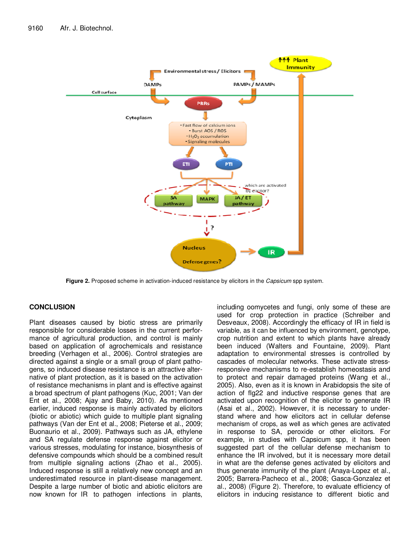

**Figure 2.** Proposed scheme in activation-induced resistance by elicitors in the *Capsicum* spp system.

## **CONCLUSION**

Plant diseases caused by biotic stress are primarily responsible for considerable losses in the current performance of agricultural production, and control is mainly based on application of agrochemicals and resistance breeding (Verhagen et al., 2006). Control strategies are directed against a single or a small group of plant pathogens, so induced disease resistance is an attractive alternative of plant protection, as it is based on the activation of resistance mechanisms in plant and is effective against a broad spectrum of plant pathogens (Kuc, 2001; Van der Ent et al., 2008; Ajay and Baby, 2010). As mentioned earlier, induced response is mainly activated by elicitors (biotic or abiotic) which guide to multiple plant signaling pathways (Van der Ent et al., 2008; Pieterse et al., 2009; Buonaurio et al., 2009). Pathways such as JA, ethylene and SA regulate defense response against elicitor or various stresses, modulating for instance, biosynthesis of defensive compounds which should be a combined result from multiple signaling actions (Zhao et al., 2005). Induced response is still a relatively new concept and an underestimated resource in plant-disease management. Despite a large number of biotic and abiotic elicitors are now known for IR to pathogen infections in plants, including oomycetes and fungi, only some of these are used for crop protection in practice (Schreiber and Desveaux, 2008). Accordingly the efficacy of IR in field is variable, as it can be influenced by environment, genotype, crop nutrition and extent to which plants have already been induced (Walters and Fountaine, 2009). Plant adaptation to environmental stresses is controlled by cascades of molecular networks. These activate stressresponsive mechanisms to re-establish homeostasis and to protect and repair damaged proteins (Wang et al., 2005). Also, even as it is known in Arabidopsis the site of action of flg22 and inductive response genes that are activated upon recognition of the elicitor to generate IR (Asai et al., 2002). However, it is necessary to understand where and how elicitors act in cellular defense mechanism of crops, as well as which genes are activated in response to SA, peroxide or other elicitors. For example, in studies with Capsicum spp, it has been suggested part of the cellular defense mechanism to enhance the IR involved, but it is necessary more detail in what are the defense genes activated by elicitors and thus generate immunity of the plant (Anaya-Lopez et al., 2005; Barrera-Pacheco et al., 2008; Gasca-Gonzalez et al., 2008) (Figure 2). Therefore, to evaluate efficiency of elicitors in inducing resistance to different biotic and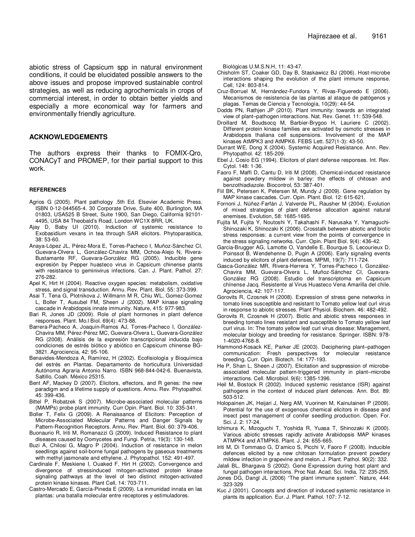abiotic stress of Capsicum spp in natural environment conditions, it could be elucidated possible answers to the above issues and propose improved sustainable control strategies, as well as reducing agrochemicals in crops of commercial interest, in order to obtain better yields and especially a more economical way for farmers and environmentally friendly agriculture.

### **ACKNOWLEDGEMENTS**

The authors express their thanks to FOMIX-Qro, CONACyT and PROMEP, for their partial support to this work.

#### **REFERENCES**

- Agrios G (2005). Plant pathology .5th Ed. Elsevier Academic Press. ISBN 0-12-044565-4. 30 Corporate Drive, Suite 400, Burlington, MA 01803, USA525 B Street, Suite 1900, San Diego, California 92101- 4495, USA 84 Theobald's Road, London WC1X 8RR, UK.
- Ajay D, Baby UI (2010). Induction of systemic resistance to Exobasidium vexans in tea through SAR elicitors. Phytoparasitica, 38: 53-60.
- Anaya-López JL, Pérez-Mora E, Torres-Pacheco I, Muñoz-Sánchez CI, Guevara-Olvera L, González-Chavira MM, Ochoa-Alejo N, Rivera-Bustamante RF, Guevara-González RG (2005). Inducible gene expresión by Pepper huasteco virus in Capsicum chinense plants with resistance to geminivirus infections. Can. J. Plant. Pathol. 27: 276-282.
- Apel K, Hirt H (2004). Reactive oxygen species: metabolism, oxidative stress, and signal transduction. Annu. Rev. Plant. Biol. 55: 373-399.
- Asai T, Tena G, Plotnikova J, Willmann M R, Chiu WL, Gomez-Gomez L, Boller T, Ausubel FM, Sheen J (2002). MAP kinase signaling cascade in Arabidopsis innate immunity. Nature, 415: 977-983.
- Bari R, Jones JD (2009). Role of plant hormones in plant defence responses. Plant. Mo.l Biol. 69(4): 473-88.
- Barrera-Pacheco A, Joaquín-Ramos AJ, Torres-Pacheco I, González-Chavira MM, Pérez-Pérez MC, Guevara-Olvera L, Guevara-González RG (2008). Análisis de la expresión transcripcional inducida bajo condiciones de estrés biótico y abiótico en Capsicum chinense BG-3821. Agrociencia, 42: 95-106.
- Benavides-Mendoza A, Ramírez, H (2002). Ecofisiología y Bioquímica del estrés en Plantas. Departamento de horticultura Universidad Autónoma Agraria Antonio Narro. ISBN 968-844-042-6. Buenavista, Saltillo, Coah. México 25315.
- Bent AF, Mackey D (2007). Elicitors, effectors, and R genes: the new paradigm and a lifetime supply of questions. Annu. Rev. Phytopathol. 45: 399-436.
- Bittel P, Robatzek S (2007). Microbe-associated molecular patterns (MAMPs) probe plant immunity. Curr Opin. Plant. Biol. 10: 335-341.
- Boller T, Felix G (2009). A Renaissance of Elicitors: Perception of Microbe-Associated Molecular Patterns and Danger Signals by Pattern-Recognition Receptors. Annu. Rev. Plant. Biol. 60: 379-406.
- Buonaurio R, Iriti M, Romanazzi G (2009). Induced Resistance to plant diseases caused by Oomycetes and Fungi. Petria, 19(3): 130-148.
- Buzi A, Chilosi G, Magro P (2004). Induction of resistance in melon seedlings against soil-borne fungal pathogens by gaseous treatments with methyl jasmonate and ethylene. J. Phytopathol. 152: 491-497.
- Cardinale F, Meskiene I, Ouaked F, Hirt H (2002). Convergence and divergence of stressinduced mitogen-activated protein kinase signaling pathways at the level of two distinct mitogen-activated protein kinase kinases. Plant Cell, 14: 703-711.
- Castro-Mercado E, García-Pineda E (2009). La inmunidad innata en las plantas: una batalla molecular entre receptores y estimuladores.

Biológicas U.M.S.N.H, 11: 43-47.

- Chisholm ST, Coaker GD, Day B, Staskawicz BJ (2006). Host-microbe interactions shaping the evolution of the plant immune response. Cell, 124: 803-814.
- Cruz-Borruel M, Hernández-Fundora Y, Rivas-Figueredo E (2006). Mecanismos de resistencia de las plantas al ataque de patógenos y plagas. Temas de Ciencia y Tecnología, 10(29): 44-54.
- Dodds PN, Rathjen JP (2010). Plant immunity: towards an integrated view of plant–pathogen interactions. Nat. Rev. Genet. 11: 539-548.
- Droillard M, Boudsocq M, Barbier-Brygoo H, Lauriere C (2002). Different protein kinase families are activated by osmotic stresses in Arabidopsis thaliana cell suspensions. Involvement of the MAP kinases AtMPK3 and AtMPK6. FEBS Lett. 527(1-3): 43-50.
- Durrant WE, Dong X (2004). Systemic Acquired Resistance. Ann. Rev. Phytopathol. 42: 185-209.
- Ebel J, Cosio EG (1994). Elicitors of plant defense responses. Int. Rev. Cytol. 148: 1-36.
- Faoro F, Maffi D, Cantu D, Iriti M (2008). Chemical-induced resistance against powdery mildew in barley: the effects of chitosan and benzothiadiazole. Biocontrol, 53: 387-401.
- Fiil BK, Petersen K, Petersen M, Mundy J (2009). Gene regulation by MAP kinase cascades. Curr. Opin. Plant. Biol. 12: 615-621.
- Fornoni J, Núñez-Farfán J, Valverde PL, Rausher M (2004). Evolution of mixed strategies of plant defense allocation against natural enemises. Evolution, 58: 1685-1695.
- Fujita M, Fujita Y, Noutoshi Y, Takahashi F, Narusaka Y, Yamaguchi-Shinozaki K, Shinozaki K (2006). Crosstalk between abiotic and biotic stress responses: a current view from the points of convergence in the stress signaling networks. Curr. Opin. Plant Biol. 9(4): 436-42.
- Garcia-Brugger AG, Lamotte O, Vandelle E, Bourque S, Lecourieux D, Poinssot B, Wendehenne D, Pugin A (2006). Early signaling events induced by elicitors of plant defenses. MPMI, 19(7): 711-724.
- Gasca-González MR, Rivera-Herrera Y, Torres-Pacheco I, González-Chavira MM, Guevara-Olvera L, Muñoz-Sánchez CI, Guevara-González RG (2008). Estudio del transcriptoma en Capsicum chínense Jacq. Resistente al Virus Huasteco Vena Amarilla del chile. Agrociencia, 42: 107-117.
- Gorovits R, Czosnek H (2008). Expression of stress gene networks in tomato lines susceptible and resistant to Tomato yellow leaf curl virus in response to abiotic stresses. Plant Physiol. Biochem. 46: 482-492.
- Gorovits R, Czosnek H (2007). Biotic and abiotic stress responses in breeding tomato lines resistant and susceptible to Tomato yellow leaf curl virus. In: The tomato yellow leaf curl virus disease: Management, molecular biology and breeding for resistance. Springer. ISBN: 978- 1-4020-4768-8.
- Hammond-Kosack KE, Parker JE (2003). Deciphering plant–pathogen communication: Fresh perspectives for molecular resistance breeding. Curr. Opin. Biotech. 14: 177-193.
- He P, Shan L, Sheen J (2007). Elicitation and suppression of microbeassociated molecular pattern-triggered immunity in plant–microbe interactions. Cell. Microbiol. 9(6): 1385-1396.
- Heil M, Bostock R (2002). Induced systemic resistance (ISR) against pathogens in the context of induced plant defences. Ann. Bot. 89: 503-512.
- Holopainen JK, Heijari J, Nerg AM, Vuorinen M, Kainulainen P (2009). Potential for the use of exogenous chemical elicitors in disease and insect pest management of conifer seedling production. Open. For. Sci. J. 2: 17-24.
- Ichimura K, Mizoguchi T, Yoshida R, Yuasa T, Shinozaki K (2000). Various abiotic stresses rapidly activate Arabidopsis MAP kinases ATMPK4 and ATMPK6. Plant. J. 24: 655-665.
- Iriti M, Di Tommaso G, D'amico S, Picchi V, Faoro F (2008). Inducible defences elicited by a new chitosan formulation prevent powdery mildew infection in grapevine and melon. J. Plant. Pathol. 90(2): 332.
- Jalali BL, Bhargava S (2002). Gene Expression during host plant and fungal pathogen interactions. Proc Nat. Acad. Sci. India, 72: 235-255.
- Jones DG, Dangl JL (2006) "The plant immune system". Nature, 444: 323-329
- Kuc J (2001). Concepts and direction of induced systemic resistance in plants its application. Eur. J. Plant. Pathol. 107: 7-12.